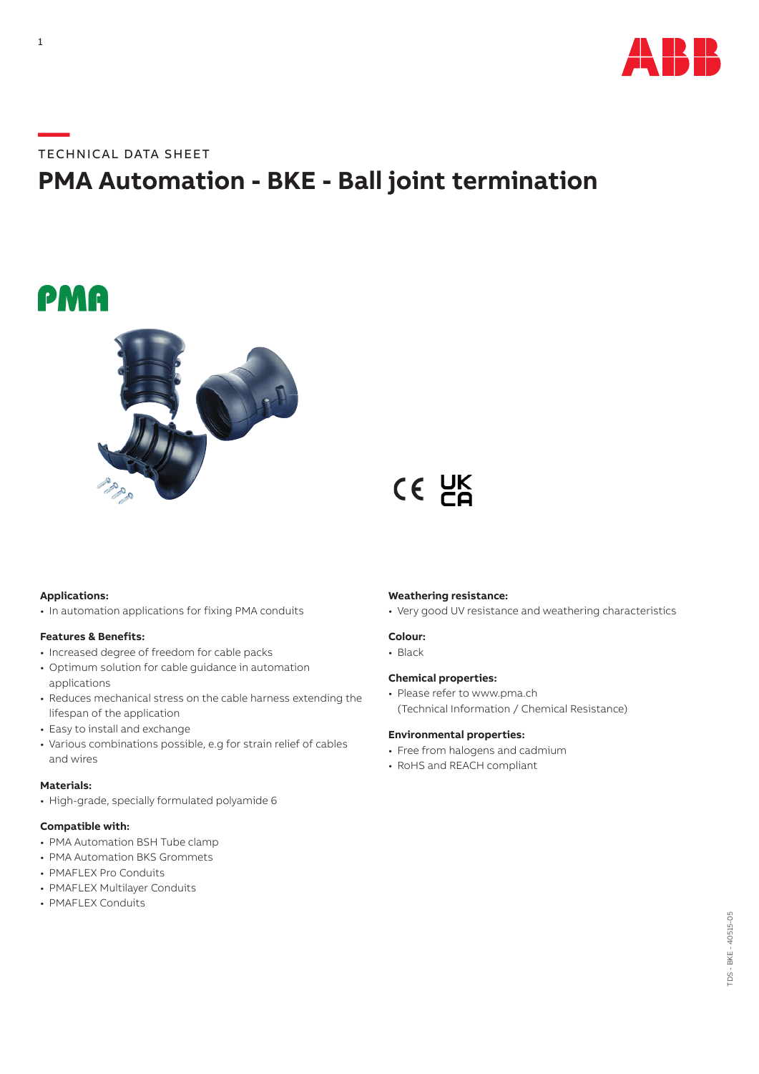

#### **—**TECHNICAL DATA SHEET

### **PMA Automation - BKE - Ball joint termination**

## PMA



# CE UK

#### **Applications:**

• In automation applications for fixing PMA conduits

#### **Features & Benefits:**

- Increased degree of freedom for cable packs
- Optimum solution for cable guidance in automation applications
- Reduces mechanical stress on the cable harness extending the lifespan of the application
- Easy to install and exchange
- Various combinations possible, e.g for strain relief of cables and wires

#### **Materials:**

• High-grade, specially formulated polyamide 6

#### **Compatible with:**

- PMA Automation BSH Tube clamp
- PMA Automation BKS Grommets
- PMAFLEX Pro Conduits
- PMAFLEX Multilayer Conduits
- PMAFLEX Conduits

#### **Weathering resistance:**

• Very good UV resistance and weathering characteristics

#### **Colour:**

• Black

#### **Chemical properties:**

• Please refer to www.pma.ch (Technical Information / Chemical Resistance)

#### **Environmental properties:**

- Free from halogens and cadmium
- RoHS and REACH compliant